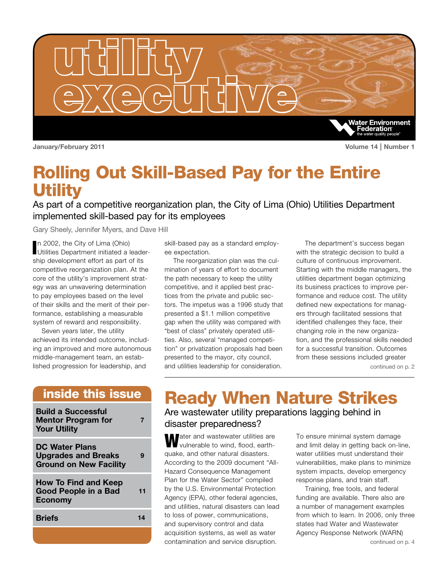

**January/February 2011 Volume 14 | Number 1**

### Rolling Out Skill-Based Pay for the Entire **Utility**

As part of a competitive reorganization plan, the City of Lima (Ohio) Utilities Department implemented skill-based pay for its employees

Gary Sheely, Jennifer Myers, and Dave Hill

In 2002, the City of Lima (Ohio)<br>Utilities Department initiated a leadern 2002, the City of Lima (Ohio) ship development effort as part of its competitive reorganization plan. At the core of the utility's improvement strategy was an unwavering determination to pay employees based on the level of their skills and the merit of their performance, establishing a measurable system of reward and responsibility.

Seven years later, the utility achieved its intended outcome, including an improved and more autonomous middle-management team, an established progression for leadership, and

### inside this issue

| <b>Build a Successful</b><br><b>Mentor Program for</b><br><b>Your Utility</b>        |    |
|--------------------------------------------------------------------------------------|----|
| <b>DC Water Plans</b><br><b>Upgrades and Breaks</b><br><b>Ground on New Facility</b> |    |
| <b>How To Find and Keep</b><br>Good People in a Bad<br><b>Economy</b>                | 11 |
| <b>Briefs</b>                                                                        |    |
|                                                                                      |    |

skill-based pay as a standard employee expectation.

The reorganization plan was the culmination of years of effort to document the path necessary to keep the utility competitive, and it applied best practices from the private and public sectors. The impetus was a 1996 study that presented a \$1.1 million competitive gap when the utility was compared with "best of class" privately operated utilities. Also, several "managed competition" or privatization proposals had been presented to the mayor, city council, and utilities leadership for consideration.

The department's success began with the strategic decision to build a culture of continuous improvement. Starting with the middle managers, the utilities department began optimizing its business practices to improve performance and reduce cost. The utility defined new expectations for managers through facilitated sessions that identified challenges they face, their changing role in the new organization, and the professional skills needed for a successful transition. Outcomes from these sessions included greater

continued on p. 2

# Ready When Nature Strikes

### Are wastewater utility preparations lagging behind in disaster preparedness?

**W**ater and wastewater utilities are vulnerable to wind, flood, earthquake, and other natural disasters. According to the 2009 document "All-Hazard Consequence Management Plan for the Water Sector" compiled by the U.S. Environmental Protection Agency (EPA), other federal agencies, and utilities, natural disasters can lead to loss of power, communications, and supervisory control and data acquisition systems, as well as water contamination and service disruption.

To ensure minimal system damage and limit delay in getting back on-line, water utilities must understand their vulnerabilities, make plans to minimize system impacts, develop emergency response plans, and train staff.

Training, free tools, and federal funding are available. There also are a number of management examples from which to learn. In 2006, only three states had Water and Wastewater Agency Response Network (WARN)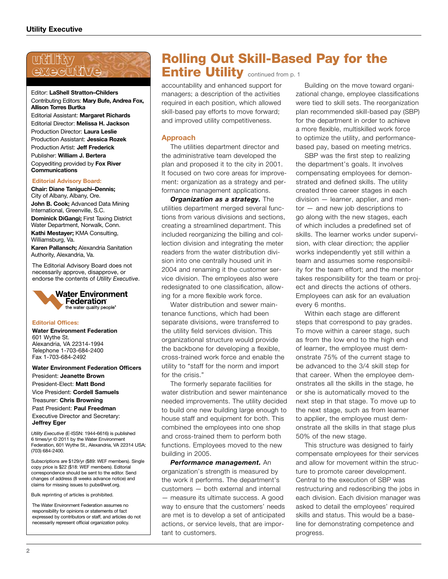### utility exxecutive

#### Editor: **LaShell Stratton–Childers** Contributing Editors: **Mary Bufe, Andrea Fox, Allison Torres Burtka** Editorial Assistant: **Margaret Richards** Editorial Director: **Melissa H. Jackson** Production Director: **Laura Leslie** Production Assistant: **Jessica Rozek** Production Artist: **Jeff Frederick** Publisher: **William J. Bertera** Copyediting provided by **Fox River Communications**

#### **Editorial Advisory Board:**

**Chair: Diane Taniguchi–Dennis;** City of Albany, Albany, Ore. **John B. Cook;** Advanced Data Mining International, Greenville, S.C. **Dominick DiGangi;** First Taxing District Water Department, Norwalk, Conn.

**Kathi Mestayer;** KMA Consulting, Williamsburg, Va.

**Karen Pallansch;** Alexandria Sanitation Authority, Alexandria, Va.

The Editorial Advisory Board does not necessarily approve, disapprove, or endorse the contents of *Utility Executive*.



#### **Editorial Offices:**

**Water Environment Federation**  601 Wythe St. Alexandria, VA 22314-1994 Telephone 1-703-684-2400 Fax 1-703-684-2492

**Water Environment Federation Officers** President: **Jeanette Brown** President-Elect: **Matt Bond**

Vice President: **Cordell Samuels**

Treasurer: **Chris Browning** Past President: **Paul Freedman**

Executive Director and Secretary: **Jeffrey Eger**

*Utility Executive* (E-ISSN: 1944-6616) is published 6 times/yr © 2011 by the Water Environment Federation, 601 Wythe St., Alexandria, VA 22314 USA; (703) 684-2400.

Subscriptions are \$129/yr (\$89: WEF members). Single copy price is \$22 (\$18: WEF members). Editorial correspondence should be sent to the editor. Send changes of address (8 weeks advance notice) and claims for missing issues to pubs@wef.org.

Bulk reprinting of articles is prohibited.

The Water Environment Federation assumes no responsibility for opinions or statements of fact expressed by contributors or staff, and articles do not necessarily represent official organization policy.

### Rolling Out Skill-Based Pay for the Entire Utility continued from p. 1

accountability and enhanced support for managers; a description of the activities required in each position, which allowed skill-based pay efforts to move forward; and improved utility competitiveness.

### **Approach**

The utilities department director and the administrative team developed the plan and proposed it to the city in 2001. It focused on two core areas for improvement: organization as a strategy and performance management applications.

*Organization as a strategy.* The utilities department merged several functions from various divisions and sections, creating a streamlined department. This included reorganizing the billing and collection division and integrating the meter readers from the water distribution division into one centrally housed unit in 2004 and renaming it the customer service division. The employees also were redesignated to one classification, allowing for a more flexible work force.

Water distribution and sewer maintenance functions, which had been separate divisions, were transferred to the utility field services division. This organizational structure would provide the backbone for developing a flexible, cross-trained work force and enable the utility to "staff for the norm and import for the crisis."

The formerly separate facilities for water distribution and sewer maintenance needed improvements. The utility decided to build one new building large enough to house staff and equipment for both. This combined the employees into one shop and cross-trained them to perform both functions. Employees moved to the new building in 2005.

*Performance management.* An organization's strength is measured by the work it performs. The department's customers — both external and internal — measure its ultimate success. A good way to ensure that the customers' needs are met is to develop a set of anticipated actions, or service levels, that are important to customers.

Building on the move toward organizational change, employee classifications were tied to skill sets. The reorganization plan recommended skill-based pay (SBP) for the department in order to achieve a more flexible, multiskilled work force to optimize the utility, and performancebased pay, based on meeting metrics.

SBP was the first step to realizing the department's goals. It involves compensating employees for demonstrated and defined skills. The utility created three career stages in each division — learner, applier, and mentor — and new job descriptions to go along with the new stages, each of which includes a predefined set of skills. The learner works under supervision, with clear direction; the applier works independently yet still within a team and assumes some responsibility for the team effort; and the mentor takes responsibility for the team or project and directs the actions of others. Employees can ask for an evaluation every 6 months.

Within each stage are different steps that correspond to pay grades. To move within a career stage, such as from the low end to the high end of learner, the employee must demonstrate 75% of the current stage to be advanced to the 3/4 skill step for that career. When the employee demonstrates all the skills in the stage, he or she is automatically moved to the next step in that stage. To move up to the next stage, such as from learner to applier, the employee must demonstrate all the skills in that stage plus 50% of the new stage.

This structure was designed to fairly compensate employees for their services and allow for movement within the structure to promote career development. Central to the execution of SBP was restructuring and redescribing the jobs in each division. Each division manager was asked to detail the employees' required skills and status. This would be a baseline for demonstrating competence and progress.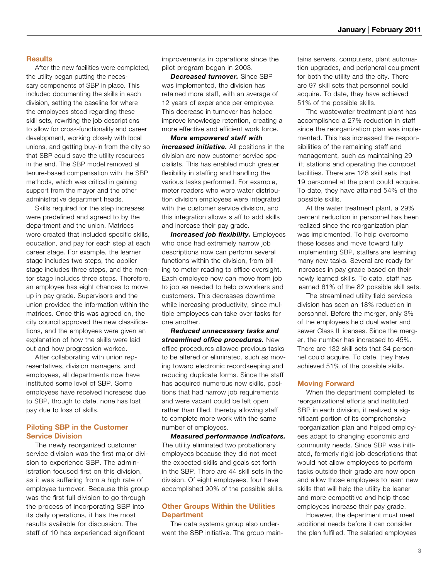### **Results**

After the new facilities were completed, the utility began putting the necessary components of SBP in place. This included documenting the skills in each division, setting the baseline for where the employees stood regarding these skill sets, rewriting the job descriptions to allow for cross-functionality and career development, working closely with local unions, and getting buy-in from the city so that SBP could save the utility resources in the end. The SBP model removed all tenure-based compensation with the SBP methods, which was critical in gaining support from the mayor and the other administrative department heads.

Skills required for the step increases were predefined and agreed to by the department and the union. Matrices were created that included specific skills, education, and pay for each step at each career stage. For example, the learner stage includes two steps, the applier stage includes three steps, and the mentor stage includes three steps. Therefore, an employee has eight chances to move up in pay grade. Supervisors and the union provided the information within the matrices. Once this was agreed on, the city council approved the new classifications, and the employees were given an explanation of how the skills were laid out and how progression worked.

After collaborating with union representatives, division managers, and employees, all departments now have instituted some level of SBP. Some employees have received increases due to SBP, though to date, none has lost pay due to loss of skills.

### **Piloting SBP in the Customer Service Division**

The newly reorganized customer service division was the first major division to experience SBP. The administration focused first on this division, as it was suffering from a high rate of employee turnover. Because this group was the first full division to go through the process of incorporating SBP into its daily operations, it has the most results available for discussion. The staff of 10 has experienced significant

improvements in operations since the pilot program began in 2003.

*Decreased turnover.* Since SBP was implemented, the division has retained more staff, with an average of 12 years of experience per employee. This decrease in turnover has helped improve knowledge retention, creating a more effective and efficient work force.

*More empowered staff with increased initiative.* All positions in the division are now customer service specialists. This has enabled much greater flexibility in staffing and handling the various tasks performed. For example, meter readers who were water distribution division employees were integrated with the customer service division, and this integration allows staff to add skills and increase their pay grade.

**Increased job flexibility.** Employees who once had extremely narrow job descriptions now can perform several functions within the division, from billing to meter reading to office oversight. Each employee now can move from job to job as needed to help coworkers and customers. This decreases downtime while increasing productivity, since multiple employees can take over tasks for one another.

*Reduced unnecessary tasks and streamlined office procedures.* New office procedures allowed previous tasks to be altered or eliminated, such as moving toward electronic recordkeeping and reducing duplicate forms. Since the staff has acquired numerous new skills, positions that had narrow job requirements and were vacant could be left open rather than filled, thereby allowing staff to complete more work with the same number of employees.

*Measured performance indicators.* The utility eliminated two probationary employees because they did not meet the expected skills and goals set forth in the SBP. There are 44 skill sets in the division. Of eight employees, four have accomplished 90% of the possible skills.

### **Other Groups Within the Utilities Department**

The data systems group also underwent the SBP initiative. The group maintains servers, computers, plant automation upgrades, and peripheral equipment for both the utility and the city. There are 97 skill sets that personnel could acquire. To date, they have achieved 51% of the possible skills.

The wastewater treatment plant has accomplished a 27% reduction in staff since the reorganization plan was implemented. This has increased the responsibilities of the remaining staff and management, such as maintaining 29 lift stations and operating the compost facilities. There are 128 skill sets that 19 personnel at the plant could acquire. To date, they have attained 54% of the possible skills.

At the water treatment plant, a 29% percent reduction in personnel has been realized since the reorganization plan was implemented. To help overcome these losses and move toward fully implementing SBP, staffers are learning many new tasks. Several are ready for increases in pay grade based on their newly learned skills. To date, staff has learned 61% of the 82 possible skill sets.

The streamlined utility field services division has seen an 18% reduction in personnel. Before the merger, only 3% of the employees held dual water and sewer Class II licenses. Since the merger, the number has increased to 45%. There are 132 skill sets that 34 personnel could acquire. To date, they have achieved 51% of the possible skills.

### **Moving Forward**

When the department completed its reorganizational efforts and instituted SBP in each division, it realized a significant portion of its comprehensive reorganization plan and helped employees adapt to changing economic and community needs. Since SBP was initiated, formerly rigid job descriptions that would not allow employees to perform tasks outside their grade are now open and allow those employees to learn new skills that will help the utility be leaner and more competitive and help those employees increase their pay grade.

However, the department must meet additional needs before it can consider the plan fulfilled. The salaried employees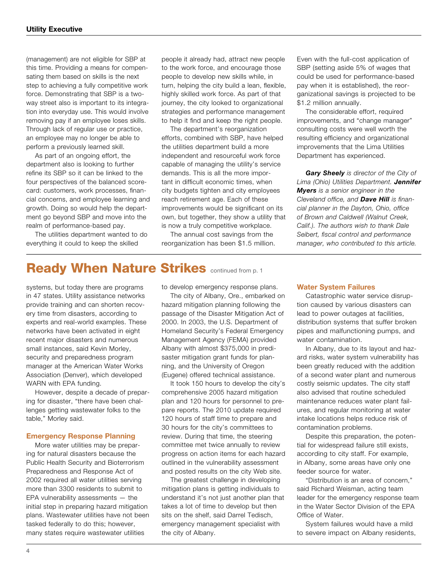(management) are not eligible for SBP at this time. Providing a means for compensating them based on skills is the next step to achieving a fully competitive work force. Demonstrating that SBP is a twoway street also is important to its integration into everyday use. This would involve removing pay if an employee loses skills. Through lack of regular use or practice, an employee may no longer be able to perform a previously learned skill.

As part of an ongoing effort, the department also is looking to further refine its SBP so it can be linked to the four perspectives of the balanced scorecard: customers, work processes, financial concerns, and employee learning and growth. Doing so would help the department go beyond SBP and move into the realm of performance-based pay.

The utilities department wanted to do everything it could to keep the skilled

people it already had, attract new people to the work force, and encourage those people to develop new skills while, in turn, helping the city build a lean, flexible, highly skilled work force. As part of that journey, the city looked to organizational strategies and performance management to help it find and keep the right people.

The department's reorganization efforts, combined with SBP, have helped the utilities department build a more independent and resourceful work force capable of managing the utility's service demands. This is all the more important in difficult economic times, when city budgets tighten and city employees reach retirement age. Each of these improvements would be significant on its own, but together, they show a utility that is now a truly competitive workplace.

The annual cost savings from the reorganization has been \$1.5 million. Even with the full-cost application of SBP (setting aside 5% of wages that could be used for performance-based pay when it is established), the reorganizational savings is projected to be \$1.2 million annually.

The considerable effort, required improvements, and "change manager" consulting costs were well worth the resulting efficiency and organizational improvements that the Lima Utilities Department has experienced.

*Gary Sheely is director of the City of Lima (Ohio) Utilities Department. Jennifer Myers is a senior engineer in the Cleveland office, and Dave Hill is financial planner in the Dayton, Ohio, office of Brown and Caldwell (Walnut Creek, Calif.). The authors wish to thank Dale Seibert, fiscal control and performance manager, who contributed to this article.*

### **Ready When Nature Strikes continued from p. 1**

systems, but today there are programs in 47 states. Utility assistance networks provide training and can shorten recovery time from disasters, according to experts and real-world examples. These networks have been activated in eight recent major disasters and numerous small instances, said Kevin Morley, security and preparedness program manager at the American Water Works Association (Denver), which developed WARN with EPA funding.

However, despite a decade of preparing for disaster, "there have been challenges getting wastewater folks to the table," Morley said.

#### **Emergency Response Planning**

More water utilities may be preparing for natural disasters because the Public Health Security and Bioterrorism Preparedness and Response Act of 2002 required all water utilities serving more than 3300 residents to submit to EPA vulnerability assessments — the initial step in preparing hazard mitigation plans. Wastewater utilities have not been tasked federally to do this; however, many states require wastewater utilities

to develop emergency response plans.

The city of Albany, Ore., embarked on hazard mitigation planning following the passage of the Disaster Mitigation Act of 2000. In 2003, the U.S. Department of Homeland Security's Federal Emergency Management Agency (FEMA) provided Albany with almost \$375,000 in predisaster mitigation grant funds for planning, and the University of Oregon (Eugene) offered technical assistance.

It took 150 hours to develop the city's comprehensive 2005 hazard mitigation plan and 120 hours for personnel to prepare reports. The 2010 update required 120 hours of staff time to prepare and 30 hours for the city's committees to review. During that time, the steering committee met twice annually to review progress on action items for each hazard outlined in the vulnerability assessment and posted results on the city Web site.

The greatest challenge in developing mitigation plans is getting individuals to understand it's not just another plan that takes a lot of time to develop but then sits on the shelf, said Darrel Tedisch, emergency management specialist with the city of Albany.

#### **Water System Failures**

Catastrophic water service disruption caused by various disasters can lead to power outages at facilities, distribution systems that suffer broken pipes and malfunctioning pumps, and water contamination.

In Albany, due to its layout and hazard risks, water system vulnerability has been greatly reduced with the addition of a second water plant and numerous costly seismic updates. The city staff also advised that routine scheduled maintenance reduces water plant failures, and regular monitoring at water intake locations helps reduce risk of contamination problems.

Despite this preparation, the potential for widespread failure still exists, according to city staff. For example, in Albany, some areas have only one feeder source for water.

"Distribution is an area of concern," said Richard Weisman, acting team leader for the emergency response team in the Water Sector Division of the EPA Office of Water.

System failures would have a mild to severe impact on Albany residents,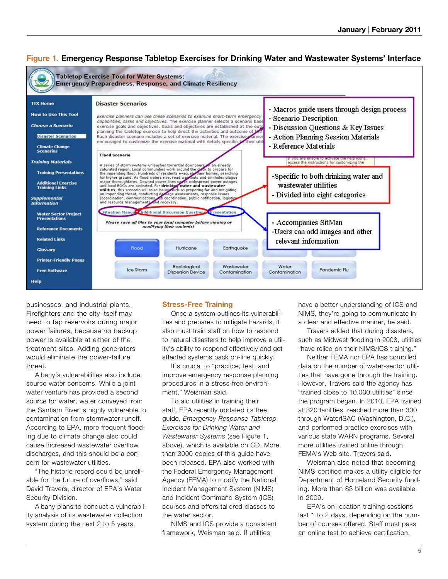

### **Figure 1. Emergency Response Tabletop Exercises for Drinking Water and Wastewater Systems' Interface**

businesses, and industrial plants. Firefighters and the city itself may need to tap reservoirs during major power failures, because no backup power is available at either of the treatment sites. Adding generators would eliminate the power-failure threat.

Albany's vulnerabilities also include source water concerns. While a joint water venture has provided a second source for water, water conveyed from the Santiam River is highly vulnerable to contamination from stormwater runoff. According to EPA, more frequent flooding due to climate change also could cause increased wastewater overflow discharges, and this should be a concern for wastewater utilities.

"The historic record could be unreliable for the future of overflows," said David Travers, director of EPA's Water Security Division.

Albany plans to conduct a vulnerability analysis of its wastewater collection system during the next 2 to 5 years.

### **Stress-Free Training**

Once a system outlines its vulnerabilities and prepares to mitigate hazards, it also must train staff on how to respond to natural disasters to help improve a utility's ability to respond effectively and get affected systems back on-line quickly.

It's crucial to "practice, test, and improve emergency response planning procedures in a stress-free environment," Weisman said.

To aid utilities in training their staff, EPA recently updated its free guide, *Emergency Response Tabletop Exercises for Drinking Water and Wastewater Systems* (see Figure 1, above), which is available on CD. More than 3000 copies of this guide have been released. EPA also worked with the Federal Emergency Management Agency (FEMA) to modify the National Incident Management System (NIMS) and Incident Command System (ICS) courses and offers tailored classes to the water sector.

NIMS and ICS provide a consistent framework, Weisman said. If utilities

have a better understanding of ICS and NIMS, they're going to communicate in a clear and effective manner, he said.

Travers added that during disasters, such as Midwest flooding in 2008, utilities "have relied on their NIMS/ICS training."

Neither FEMA nor EPA has compiled data on the number of water-sector utilities that have gone through the training. However, Travers said the agency has "trained close to 10,000 utilities" since the program began. In 2010, EPA trained at 320 facilities, reached more than 300 through WaterISAC (Washington, D.C.), and performed practice exercises with various state WARN programs. Several more utilities trained online through FEMA's Web site, Travers said.

Weisman also noted that becoming NIMS-certified makes a utility eligible for Department of Homeland Security funding. More than \$3 billion was available in 2009.

EPA's on-location training sessions last 1 to 2 days, depending on the number of courses offered. Staff must pass an online test to achieve certification.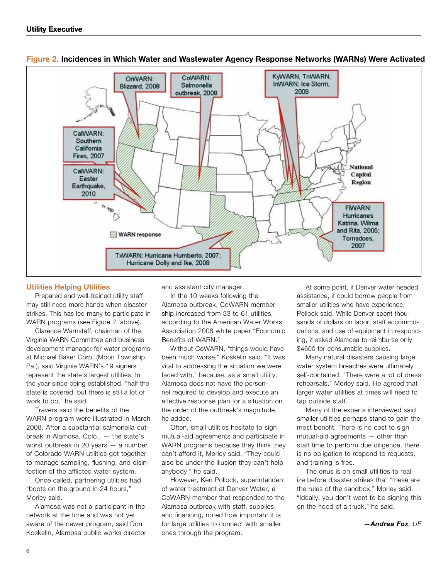

### **Figure 2. Incidences in Which Water and Wastewater Agency Response Networks (WARNs) Were Activated**

### **Utilities Helping Utilities**

Prepared and well-trained utility staff may still need more hands when disaster strikes. This has led many to participate in WARN programs (see Figure 2, above).

Clarence Warnstaff, chairman of the Virginia WARN Committee and business development manager for water programs at Michael Baker Corp. (Moon Township, Pa.), said Virginia WARN's 19 signers represent the state's largest utilities. In the year since being established, "half the state is covered, but there is still a lot of work to do," he said.

Travers said the benefits of the WARN program were illustrated in March 2008. After a substantial salmonella outbreak in Alamosa, Colo., — the state's worst outbreak in 20 years — a number of Colorado WARN utilities got together to manage sampling, flushing, and disinfection of the afflicted water system.

Once called, partnering utilities had "boots on the ground in 24 hours," Morley said.

Alamosa was not a participant in the network at the time and was not yet aware of the newer program, said Don Koskelin, Alamosa public works director and assistant city manager.

In the 10 weeks following the Alamosa outbreak, CoWARN membership increased from 33 to 61 utilities, according to the American Water Works Association 2008 white paper "Economic Benefits of WARN."

Without CoWARN, "things would have been much worse," Koskelin said. "It was vital to addressing the situation we were faced with," because, as a small utility, Alamosa does not have the personnel required to develop and execute an effective response plan for a situation on the order of the outbreak's magnitude, he added.

Often, small utilities hesitate to sign mutual-aid agreements and participate in WARN programs because they think they can't afford it, Morley said. "They could also be under the illusion they can't help anybody," he said.

However, Ken Pollock, superintendent of water treatment at Denver Water, a CoWARN member that responded to the Alamosa outbreak with staff, supplies, and financing, noted how important it is for large utilities to connect with smaller ones through the program.

At some point, if Denver water needed assistance, it could borrow people from smaller utilities who have experience, Pollock said. While Denver spent thousands of dollars on labor, staff accommodations, and use of equipment in responding, it asked Alamosa to reimburse only \$4600 for consumable supplies.

Many natural disasters causing large water system breaches were ultimately self-contained. "There were a lot of dress rehearsals," Morley said. He agreed that larger water utilities at times will need to tap outside staff.

Many of the experts interviewed said smaller utilities perhaps stand to gain the most benefit. There is no cost to sign mutual-aid agreements — other than staff time to perform due diligence, there is no obligation to respond to requests, and training is free.

The onus is on small utilities to realize before disaster strikes that "these are the rules of the sandbox," Morley said. "Ideally, you don't want to be signing this on the hood of a truck," he said.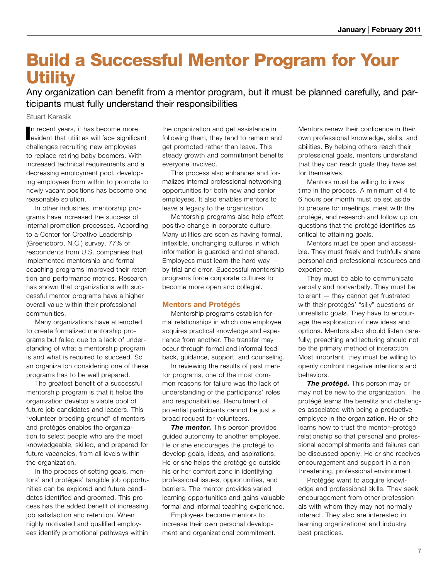## Build a Successful Mentor Program for Your **Utility**

Any organization can benefit from a mentor program, but it must be planned carefully, and participants must fully understand their responsibilities

Stuart Karasik

In recent years, it has become more<br>evident that utilities will face significant n recent years, it has become more challenges recruiting new employees to replace retiring baby boomers. With increased technical requirements and a decreasing employment pool, developing employees from within to promote to newly vacant positions has become one reasonable solution.

In other industries, mentorship programs have increased the success of internal promotion processes. According to a Center for Creative Leadership (Greensboro, N.C.) survey, 77% of respondents from U.S. companies that implemented mentorship and formal coaching programs improved their retention and performance metrics. Research has shown that organizations with successful mentor programs have a higher overall value within their professional communities.

Many organizations have attempted to create formalized mentorship programs but failed due to a lack of understanding of what a mentorship program is and what is required to succeed. So an organization considering one of these programs has to be well prepared.

The greatest benefit of a successful mentorship program is that it helps the organization develop a viable pool of future job candidates and leaders. This "volunteer breeding ground" of mentors and protégés enables the organization to select people who are the most knowledgeable, skilled, and prepared for future vacancies, from all levels within the organization.

In the process of setting goals, mentors' and protégés' tangible job opportunities can be explored and future candidates identified and groomed. This process has the added benefit of increasing job satisfaction and retention. When highly motivated and qualified employees identify promotional pathways within the organization and get assistance in following them, they tend to remain and get promoted rather than leave. This steady growth and commitment benefits everyone involved.

This process also enhances and formalizes internal professional networking opportunities for both new and senior employees. It also enables mentors to leave a legacy to the organization.

Mentorship programs also help effect positive change in corporate culture. Many utilities are seen as having formal, inflexible, unchanging cultures in which information is guarded and not shared. Employees must learn the hard way by trial and error. Successful mentorship programs force corporate cultures to become more open and collegial.

### **Mentors and Protégés**

Mentorship programs establish formal relationships in which one employee acquires practical knowledge and experience from another. The transfer may occur through formal and informal feedback, guidance, support, and counseling.

In reviewing the results of past mentor programs, one of the most common reasons for failure was the lack of understanding of the participants' roles and responsibilities. Recruitment of potential participants cannot be just a broad request for volunteers.

**The mentor.** This person provides guided autonomy to another employee. He or she encourages the protégé to develop goals, ideas, and aspirations. He or she helps the protégé go outside his or her comfort zone in identifying professional issues, opportunities, and barriers. The mentor provides varied learning opportunities and gains valuable formal and informal teaching experience.

Employees become mentors to increase their own personal development and organizational commitment. Mentors renew their confidence in their own professional knowledge, skills, and abilities. By helping others reach their professional goals, mentors understand that they can reach goals they have set for themselves.

Mentors must be willing to invest time in the process. A minimum of 4 to 6 hours per month must be set aside to prepare for meetings, meet with the protégé, and research and follow up on questions that the protégé identifies as critical to attaining goals.

Mentors must be open and accessible. They must freely and truthfully share personal and professional resources and experience.

They must be able to communicate verbally and nonverbally. They must be tolerant — they cannot get frustrated with their protégés' "silly" questions or unrealistic goals. They have to encourage the exploration of new ideas and options. Mentors also should listen carefully; preaching and lecturing should not be the primary method of interaction. Most important, they must be willing to openly confront negative intentions and behaviors.

*The protégé.* This person may or may not be new to the organization. The protégé learns the benefits and challenges associated with being a productive employee in the organization. He or she learns how to trust the mentor–protégé relationship so that personal and professional accomplishments and failures can be discussed openly. He or she receives encouragement and support in a nonthreatening, professional environment.

Protégés want to acquire knowledge and professional skills. They seek encouragement from other professionals with whom they may not normally interact. They also are interested in learning organizational and industry best practices.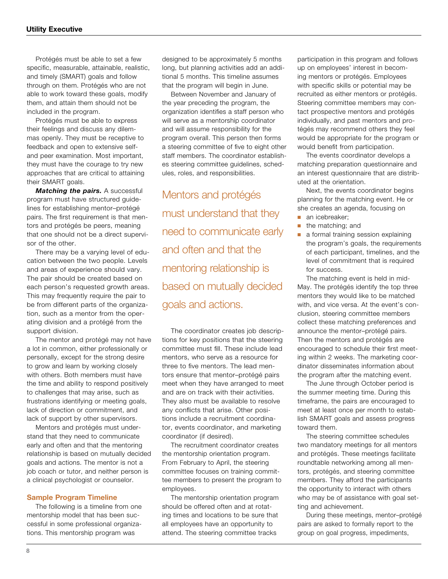Protégés must be able to set a few specific, measurable, attainable, realistic, and timely (SMART) goals and follow through on them. Protégés who are not able to work toward these goals, modify them, and attain them should not be included in the program.

Protégés must be able to express their feelings and discuss any dilemmas openly. They must be receptive to feedback and open to extensive selfand peer examination. Most important, they must have the courage to try new approaches that are critical to attaining their SMART goals.

*Matching the pairs.* A successful program must have structured guidelines for establishing mentor–protégé pairs. The first requirement is that mentors and protégés be peers, meaning that one should not be a direct supervisor of the other.

There may be a varying level of education between the two people. Levels and areas of experience should vary. The pair should be created based on each person's requested growth areas. This may frequently require the pair to be from different parts of the organization, such as a mentor from the operating division and a protégé from the support division.

The mentor and protégé may not have a lot in common, either professionally or personally, except for the strong desire to grow and learn by working closely with others. Both members must have the time and ability to respond positively to challenges that may arise, such as frustrations identifying or meeting goals, lack of direction or commitment, and lack of support by other supervisors.

Mentors and protégés must understand that they need to communicate early and often and that the mentoring relationship is based on mutually decided goals and actions. The mentor is not a job coach or tutor, and neither person is a clinical psychologist or counselor.

#### **Sample Program Timeline**

The following is a timeline from one mentorship model that has been successful in some professional organizations. This mentorship program was

designed to be approximately 5 months long, but planning activities add an additional 5 months. This timeline assumes that the program will begin in June.

Between November and January of the year preceding the program, the organization identifies a staff person who will serve as a mentorship coordinator and will assume responsibility for the program overall. This person then forms a steering committee of five to eight other staff members. The coordinator establishes steering committee guidelines, schedules, roles, and responsibilities.

Mentors and protégés must understand that they need to communicate early and often and that the mentoring relationship is based on mutually decided goals and actions.

The coordinator creates job descriptions for key positions that the steering committee must fill. These include lead mentors, who serve as a resource for three to five mentors. The lead mentors ensure that mentor–protégé pairs meet when they have arranged to meet and are on track with their activities. They also must be available to resolve any conflicts that arise. Other positions include a recruitment coordinator, events coordinator, and marketing coordinator (if desired).

The recruitment coordinator creates the mentorship orientation program. From February to April, the steering committee focuses on training committee members to present the program to employees.

The mentorship orientation program should be offered often and at rotating times and locations to be sure that all employees have an opportunity to attend. The steering committee tracks

participation in this program and follows up on employees' interest in becoming mentors or protégés. Employees with specific skills or potential may be recruited as either mentors or protégés. Steering committee members may contact prospective mentors and protégés individually, and past mentors and protégés may recommend others they feel would be appropriate for the program or would benefit from participation.

The events coordinator develops a matching preparation questionnaire and an interest questionnaire that are distributed at the orientation.

Next, the events coordinator begins planning for the matching event. He or she creates an agenda, focusing on

- an icebreaker;
- the matching; and
- a formal training session explaining the program's goals, the requirements of each participant, timelines, and the level of commitment that is required for success.

The matching event is held in mid-May. The protégés identify the top three mentors they would like to be matched with, and vice versa. At the event's conclusion, steering committee members collect these matching preferences and announce the mentor–protégé pairs. Then the mentors and protégés are encouraged to schedule their first meeting within 2 weeks. The marketing coordinator disseminates information about the program after the matching event.

The June through October period is the summer meeting time. During this timeframe, the pairs are encouraged to meet at least once per month to establish SMART goals and assess progress toward them.

The steering committee schedules two mandatory meetings for all mentors and protégés. These meetings facilitate roundtable networking among all mentors, protégés, and steering committee members. They afford the participants the opportunity to interact with others who may be of assistance with goal setting and achievement.

During these meetings, mentor–protégé pairs are asked to formally report to the group on goal progress, impediments,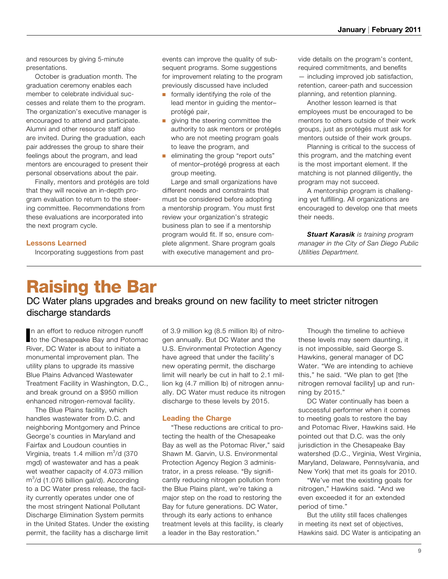and resources by giving 5-minute presentations.

October is graduation month. The graduation ceremony enables each member to celebrate individual successes and relate them to the program. The organization's executive manager is encouraged to attend and participate. Alumni and other resource staff also are invited. During the graduation, each pair addresses the group to share their feelings about the program, and lead mentors are encouraged to present their personal observations about the pair.

Finally, mentors and protégés are told that they will receive an in-depth program evaluation to return to the steering committee. Recommendations from these evaluations are incorporated into the next program cycle.

### **Lessons Learned**

Incorporating suggestions from past

events can improve the quality of subsequent programs. Some suggestions for improvement relating to the program previously discussed have included

- formally identifying the role of the lead mentor in guiding the mentor– protégé pair,
- giving the steering committee the authority to ask mentors or protégés who are not meeting program goals to leave the program, and
- eliminating the group "report outs" of mentor–protégé progress at each group meeting.

Large and small organizations have different needs and constraints that must be considered before adopting a mentorship program. You must first review your organization's strategic business plan to see if a mentorship program would fit. If so, ensure complete alignment. Share program goals with executive management and provide details on the program's content, required commitments, and benefits — including improved job satisfaction, retention, career-path and succession planning, and retention planning.

Another lesson learned is that employees must be encouraged to be mentors to others outside of their work groups, just as protégés must ask for mentors outside of their work groups.

Planning is critical to the success of this program, and the matching event is the most important element. If the matching is not planned diligently, the program may not succeed.

A mentorship program is challenging yet fulfilling. All organizations are encouraged to develop one that meets their needs.

*Stuart Karasik is training program manager in the City of San Diego Public Utilities Department.* 

# Raising the Bar

DC Water plans upgrades and breaks ground on new facility to meet stricter nitrogen discharge standards

In an effort to reduce nitrogen runoff<br>Ito the Chesapeake Bay and Potoma to the Chesapeake Bay and Potomac River, DC Water is about to initiate a monumental improvement plan. The utility plans to upgrade its massive Blue Plains Advanced Wastewater Treatment Facility in Washington, D.C., and break ground on a \$950 million enhanced nitrogen-removal facility.

The Blue Plains facility, which handles wastewater from D.C. and neighboring Montgomery and Prince George's counties in Maryland and Fairfax and Loudoun counties in Virginia, treats 1.4 million  $m^3/d$  (370 mgd) of wastewater and has a peak wet weather capacity of 4.073 million  $m<sup>3</sup>/d$  (1.076 billion gal/d). According to a DC Water press release, the facility currently operates under one of the most stringent National Pollutant Discharge Elimination System permits in the United States. Under the existing permit, the facility has a discharge limit

of 3.9 million kg (8.5 million lb) of nitrogen annually. But DC Water and the U.S. Environmental Protection Agency have agreed that under the facility's new operating permit, the discharge limit will nearly be cut in half to 2.1 million kg (4.7 million lb) of nitrogen annually. DC Water must reduce its nitrogen discharge to these levels by 2015.

### **Leading the Charge**

"These reductions are critical to protecting the health of the Chesapeake Bay as well as the Potomac River," said Shawn M. Garvin, U.S. Environmental Protection Agency Region 3 administrator, in a press release. "By significantly reducing nitrogen pollution from the Blue Plains plant, we're taking a major step on the road to restoring the Bay for future generations. DC Water, through its early actions to enhance treatment levels at this facility, is clearly a leader in the Bay restoration."

Though the timeline to achieve these levels may seem daunting, it is not impossible, said George S. Hawkins, general manager of DC Water. "We are intending to achieve this," he said. "We plan to get [the nitrogen removal facility] up and running by 2015."

DC Water continually has been a successful performer when it comes to meeting goals to restore the bay and Potomac River, Hawkins said. He pointed out that D.C. was the only jurisdiction in the Chesapeake Bay watershed (D.C., Virginia, West Virginia, Maryland, Delaware, Pennsylvania, and New York) that met its goals for 2010.

"We've met the existing goals for nitrogen," Hawkins said. "And we even exceeded it for an extended period of time."

But the utility still faces challenges in meeting its next set of objectives, Hawkins said. DC Water is anticipating an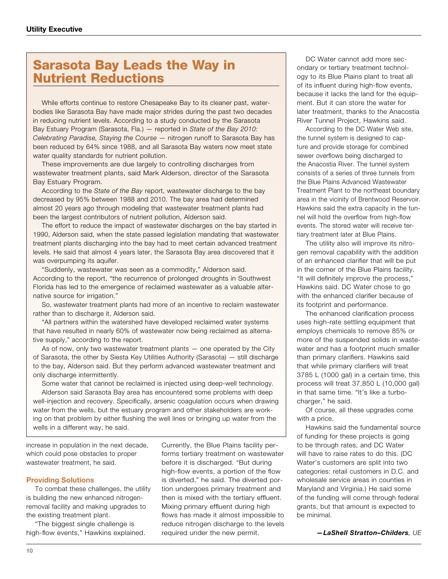### Sarasota Bay Leads the Way in Nutrient Reductions

While efforts continue to restore Chesapeake Bay to its cleaner past, waterbodies like Sarasota Bay have made major strides during the past two decades in reducing nutrient levels. According to a study conducted by the Sarasota Bay Estuary Program (Sarasota, Fla.) — reported in *State of the Bay 2010: Celebrating Paradise, Staying the Course* — nitrogen runoff to Sarasota Bay has been reduced by 64% since 1988, and all Sarasota Bay waters now meet state water quality standards for nutrient pollution.

These improvements are due largely to controlling discharges from wastewater treatment plants, said Mark Alderson, director of the Sarasota Bay Estuary Program.

According to the *State of the Bay* report, wastewater discharge to the bay decreased by 95% between 1988 and 2010. The bay area had determined almost 20 years ago through modeling that wastewater treatment plants had been the largest contributors of nutrient pollution, Alderson said.

The effort to reduce the impact of wastewater discharges on the bay started in 1990, Alderson said, when the state passed legislation mandating that wastewater treatment plants discharging into the bay had to meet certain advanced treatment levels. He said that almost 4 years later, the Sarasota Bay area discovered that it was overpumping its aquifer.

"Suddenly, wastewater was seen as a commodity," Alderson said. According to the report, "the recurrence of prolonged droughts in Southwest Florida has led to the emergence of reclaimed wastewater as a valuable alternative source for irrigation."

So, wastewater treatment plants had more of an incentive to reclaim wastewater rather than to discharge it, Alderson said.

"All partners within the watershed have developed reclaimed water systems that have resulted in nearly 60% of wastewater now being reclaimed as alternative supply," according to the report.

As of now, only two wastewater treatment plants — one operated by the City of Sarasota, the other by Siesta Key Utilities Authority (Sarasota) — still discharge to the bay, Alderson said. But they perform advanced wastewater treatment and only discharge intermittently.

Some water that cannot be reclaimed is injected using deep-well technology. Alderson said Sarasota Bay area has encountered some problems with deep well-injection and recovery. Specifically, arsenic coagulation occurs when drawing water from the wells, but the estuary program and other stakeholders are working on that problem by either flushing the well lines or bringing up water from the wells in a different way, he said.

increase in population in the next decade, which could pose obstacles to proper wastewater treatment, he said.

### **Providing Solutions**

To combat these challenges, the utility is building the new enhanced nitrogenremoval facility and making upgrades to the existing treatment plant.

"The biggest single challenge is high-flow events," Hawkins explained. Currently, the Blue Plains facility performs tertiary treatment on wastewater before it is discharged. "But during high-flow events, a portion of the flow is diverted," he said. The diverted portion undergoes primary treatment and then is mixed with the tertiary effluent. Mixing primary effluent during high flows has made it almost impossible to reduce nitrogen discharge to the levels required under the new permit.

DC Water cannot add more secondary or tertiary treatment technology to its Blue Plains plant to treat all of its influent during high-flow events, because it lacks the land for the equipment. But it can store the water for later treatment, thanks to the Anacostia River Tunnel Project, Hawkins said.

According to the DC Water Web site, the tunnel system is designed to capture and provide storage for combined sewer overflows being discharged to the Anacostia River. The tunnel system consists of a series of three tunnels from the Blue Plains Advanced Wastewater Treatment Plant to the northeast boundary area in the vicinity of Brentwood Reservoir. Hawkins said the extra capacity in the tunnel will hold the overflow from high-flow events. The stored water will receive tertiary treatment later at Blue Plains.

The utility also will improve its nitrogen removal capability with the addition of an enhanced clarifier that will be put in the corner of the Blue Plains facility. "It will definitely improve the process," Hawkins said. DC Water chose to go with the enhanced clarifier because of its footprint and performance.

The enhanced clarification process uses high-rate settling equipment that employs chemicals to remove 85% or more of the suspended solids in wastewater and has a footprint much smaller than primary clarifiers. Hawkins said that while primary clarifiers will treat 3785 L (1000 gal) in a certain time, this process will treat 37,850 L (10,000 gal) in that same time. "It's like a turbocharger," he said.

Of course, all these upgrades come with a price.

Hawkins said the fundamental source of funding for these projects is going to be through rates, and DC Water will have to raise rates to do this. (DC Water's customers are split into two categories: retail customers in D.C. and wholesale service areas in counties in Maryland and Virginia.) He said some of the funding will come through federal grants, but that amount is expected to be minimal.

*—LaShell Stratton–Childers, UE*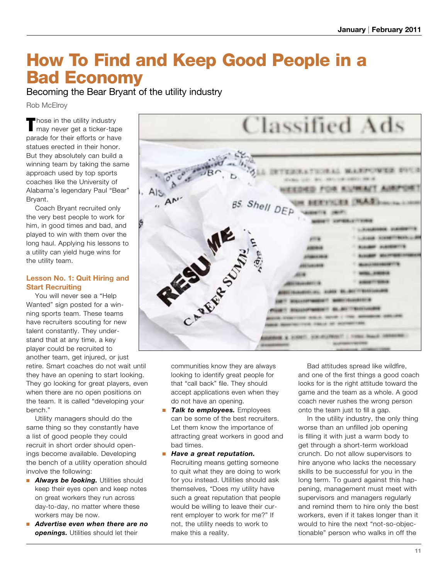# How To Find and Keep Good People in a Bad Economy

Becoming the Bear Bryant of the utility industry

Rob McElroy

Those in the utility industry<br>
I may never get a ticker-tape parade for their efforts or have statues erected in their honor. But they absolutely can build a winning team by taking the same approach used by top sports coaches like the University of Alabama's legendary Paul "Bear" Bryant.

Coach Bryant recruited only the very best people to work for him, in good times and bad, and played to win with them over the long haul. Applying his lessons to a utility can yield huge wins for the utility team.

### **Lesson No. 1: Quit Hiring and Start Recruiting**

You will never see a "Help Wanted" sign posted for a winning sports team. These teams have recruiters scouting for new talent constantly. They understand that at any time, a key player could be recruited to another team, get injured, or just

retire. Smart coaches do not wait until they have an opening to start looking. They go looking for great players, even when there are no open positions on the team. It is called "developing your bench."

Utility managers should do the same thing so they constantly have a list of good people they could recruit in short order should openings become available. Developing the bench of a utility operation should involve the following:

- **Always be looking.** Utilities should keep their eyes open and keep notes on great workers they run across day-to-day, no matter where these workers may be now.
- *Advertise even when there are no openings.* Utilities should let their



communities know they are always looking to identify great people for that "call back" file. They should accept applications even when they do not have an opening.

- *Talk to employees.* Employees can be some of the best recruiters. Let them know the importance of attracting great workers in good and bad times.
- *Have a great reputation.* Recruiting means getting someone to quit what they are doing to work for you instead. Utilities should ask themselves, "Does my utility have such a great reputation that people would be willing to leave their current employer to work for me?" If not, the utility needs to work to make this a reality.

Bad attitudes spread like wildfire, and one of the first things a good coach looks for is the right attitude toward the game and the team as a whole. A good coach never rushes the wrong person onto the team just to fill a gap.

In the utility industry, the only thing worse than an unfilled job opening is filling it with just a warm body to get through a short-term workload crunch. Do not allow supervisors to hire anyone who lacks the necessary skills to be successful for you in the long term. To guard against this happening, management must meet with supervisors and managers regularly and remind them to hire only the best workers, even if it takes longer than it would to hire the next "not-so-objectionable" person who walks in off the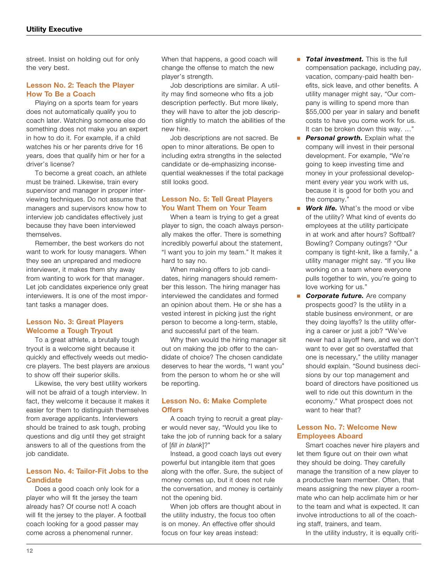street. Insist on holding out for only the very best.

### **Lesson No. 2: Teach the Player How To Be a Coach**

Playing on a sports team for years does not automatically qualify you to coach later. Watching someone else do something does not make you an expert in how to do it. For example, if a child watches his or her parents drive for 16 years, does that qualify him or her for a driver's license?

To become a great coach, an athlete must be trained. Likewise, train every supervisor and manager in proper interviewing techniques. Do not assume that managers and supervisors know how to interview job candidates effectively just because they have been interviewed themselves.

Remember, the best workers do not want to work for lousy managers. When they see an unprepared and mediocre interviewer, it makes them shy away from wanting to work for that manager. Let job candidates experience only great interviewers. It is one of the most important tasks a manager does.

### **Lesson No. 3: Great Players Welcome a Tough Tryout**

To a great athlete, a brutally tough tryout is a welcome sight because it quickly and effectively weeds out mediocre players. The best players are anxious to show off their superior skills.

Likewise, the very best utility workers will not be afraid of a tough interview. In fact, they welcome it because it makes it easier for them to distinguish themselves from average applicants. Interviewers should be trained to ask tough, probing questions and dig until they get straight answers to all of the questions from the job candidate.

### **Lesson No. 4: Tailor-Fit Jobs to the Candidate**

Does a good coach only look for a player who will fit the jersey the team already has? Of course not! A coach will fit the jersey to the player. A football coach looking for a good passer may come across a phenomenal runner.

When that happens, a good coach will change the offense to match the new player's strength.

Job descriptions are similar. A utility may find someone who fits a job description perfectly. But more likely, they will have to alter the job description slightly to match the abilities of the new hire.

Job descriptions are not sacred. Be open to minor alterations. Be open to including extra strengths in the selected candidate or de-emphasizing inconsequential weaknesses if the total package still looks good.

### **Lesson No. 5: Tell Great Players You Want Them on Your Team**

When a team is trying to get a great player to sign, the coach always personally makes the offer. There is something incredibly powerful about the statement, "I want you to join my team." It makes it hard to say no.

When making offers to job candidates, hiring managers should remember this lesson. The hiring manager has interviewed the candidates and formed an opinion about them. He or she has a vested interest in picking just the right person to become a long-term, stable, and successful part of the team.

Why then would the hiring manager sit out on making the job offer to the candidate of choice? The chosen candidate deserves to hear the words, "I want you" from the person to whom he or she will be reporting.

### **Lesson No. 6: Make Complete Offers**

A coach trying to recruit a great player would never say, "Would you like to take the job of running back for a salary of [*fill in blank*]?"

Instead, a good coach lays out every powerful but intangible item that goes along with the offer. Sure, the subject of money comes up, but it does not rule the conversation, and money is certainly not the opening bid.

When job offers are thought about in the utility industry, the focus too often is on money. An effective offer should focus on four key areas instead:

- *Total investment*. This is the full compensation package, including pay, vacation, company-paid health benefits, sick leave, and other benefits. A utility manager might say, "Our company is willing to spend more than \$55,000 per year in salary and benefit costs to have you come work for us. It can be broken down this way. …"
- **Personal growth.** Explain what the company will invest in their personal development. For example, "We're going to keep investing time and money in your professional development every year you work with us, because it is good for both you and the company."
- *Work life.* What's the mood or vibe of the utility? What kind of events do employees at the utility participate in at work and after hours? Softball? Bowling? Company outings? "Our company is tight-knit, like a family," a utility manager might say. "If you like working on a team where everyone pulls together to win, you're going to love working for us."
- **E** *Corporate future.* Are company prospects good? Is the utility in a stable business environment, or are they doing layoffs? Is the utility offering a career or just a job? "We've never had a layoff here, and we don't want to ever get so overstaffed that one is necessary," the utility manager should explain. "Sound business decisions by our top management and board of directors have positioned us well to ride out this downturn in the economy." What prospect does not want to hear that?

### **Lesson No. 7: Welcome New Employees Aboard**

Smart coaches never hire players and let them figure out on their own what they should be doing. They carefully manage the transition of a new player to a productive team member. Often, that means assigning the new player a roommate who can help acclimate him or her to the team and what is expected. It can involve introductions to all of the coaching staff, trainers, and team.

In the utility industry, it is equally criti-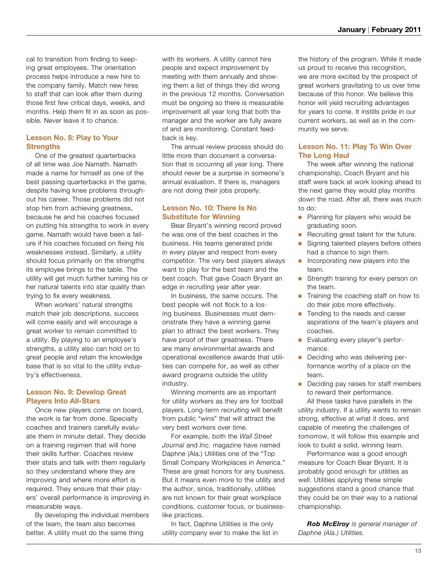cal to transition from finding to keeping great employees. The orientation process helps introduce a new hire to the company family. Match new hires to staff that can look after them during those first few critical days, weeks, and months. Help them fit in as soon as possible. Never leave it to chance.

### **Lesson No. 8: Play to Your Strengths**

One of the greatest quarterbacks of all time was Joe Namath. Namath made a name for himself as one of the best passing quarterbacks in the game, despite having knee problems throughout his career. Those problems did not stop him from achieving greatness, because he and his coaches focused on putting his strengths to work in every game. Namath would have been a failure if his coaches focused on fixing his weaknesses instead. Similarly, a utility should focus primarily on the strengths its employee brings to the table. The utility will get much further turning his or her natural talents into star quality than trying to fix every weakness.

When workers' natural strengths match their job descriptions, success will come easily and will encourage a great worker to remain committed to a utility. By playing to an employee's strengths, a utility also can hold on to great people and retain the knowledge base that is so vital to the utility industry's effectiveness.

### **Lesson No. 9: Develop Great Players Into All-Stars**

Once new players come on board, the work is far from done. Specialty coaches and trainers carefully evaluate them in minute detail. They decide on a training regimen that will hone their skills further. Coaches review their stats and talk with them regularly so they understand where they are improving and where more effort is required. They ensure that their players' overall performance is improving in measurable ways.

By developing the individual members of the team, the team also becomes better. A utility must do the same thing

with its workers. A utility cannot hire people and expect improvement by meeting with them annually and showing them a list of things they did wrong in the previous 12 months. Conversation must be ongoing so there is measurable improvement all year long that both the manager and the worker are fully aware of and are monitoring. Constant feedback is key.

The annual review process should do little more than document a conversation that is occurring all year long. There should never be a surprise in someone's annual evaluation. If there is, managers are not doing their jobs properly.

### **Lesson No. 10: There Is No Substitute for Winning**

Bear Bryant's winning record proved he was one of the best coaches in the business. His teams generated pride in every player and respect from every competitor. The very best players always want to play for the best team and the best coach. That gave Coach Bryant an edge in recruiting year after year.

In business, the same occurs. The best people will not flock to a losing business. Businesses must demonstrate they have a winning game plan to attract the best workers. They have proof of their greatness. There are many environmental awards and operational excellence awards that utilities can compete for, as well as other award programs outside the utility industry.

Winning moments are as important for utility workers as they are for football players. Long-term recruiting will benefit from public "wins" that will attract the very best workers over time.

For example, both the *Wall Street Journal* and *Inc.* magazine have named Daphne (Ala.) Utilities one of the "Top Small Company Workplaces in America." These are great honors for any business. But it means even more to the utility and the author, since, traditionally, utilities are not known for their great workplace conditions, customer focus, or businesslike practices.

In fact, Daphne Utilities is the only utility company ever to make the list in the history of the program. While it made us proud to receive this recognition, we are more excited by the prospect of great workers gravitating to us over time because of this honor. We believe this honor will yield recruiting advantages for years to come. It instills pride in our current workers, as well as in the community we serve.

### **Lesson No. 11: Play To Win Over The Long Haul**

The week after winning the national championship, Coach Bryant and his staff were back at work looking ahead to the next game they would play months down the road. After all, there was much to do:

- Planning for players who would be graduating soon.
- Recruiting great talent for the future.
- Signing talented players before others had a chance to sign them.
- Incorporating new players into the team.
- Strength training for every person on the team.
- Training the coaching staff on how to do their jobs more effectively.
- Tending to the needs and career aspirations of the team's players and coaches.
- Evaluating every player's performance.
- Deciding who was delivering performance worthy of a place on the team.
- Deciding pay raises for staff members to reward their performance.

All these tasks have parallels in the utility industry. If a utility wants to remain strong, effective at what it does, and capable of meeting the challenges of tomorrow, it will follow this example and look to build a solid, winning team.

Performance was a good enough measure for Coach Bear Bryant. It is probably good enough for utilities as well. Utilities applying these simple suggestions stand a good chance that they could be on their way to a national championship.

*Rob McElroy is general manager of Daphne (Ala.) Utilities.*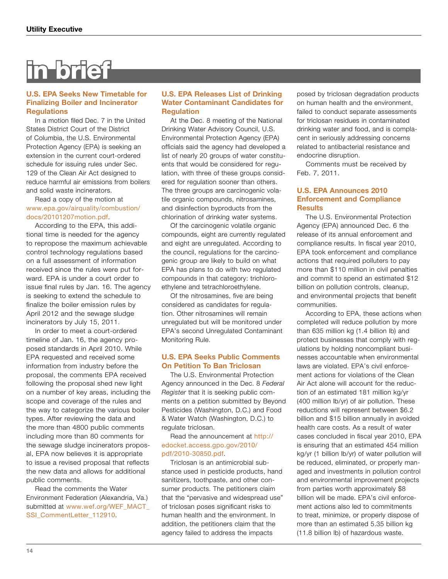# in brief

### **U.S. EPA Seeks New Timetable for Finalizing Boiler and Incinerator Regulations**

In a motion filed Dec. 7 in the United States District Court of the District of Columbia, the U.S. Environmental Protection Agency (EPA) is seeking an extension in the current court-ordered schedule for issuing rules under Sec. 129 of the Clean Air Act designed to reduce harmful air emissions from boilers and solid waste incinerators.

### Read a copy of the motion at [www.epa.gov/airquality/combustion/](www.epa.gov/airquality/combustion/docs/20101207motion.pdf) [docs/20101207motion.pdf](www.epa.gov/airquality/combustion/docs/20101207motion.pdf).

According to the EPA, this additional time is needed for the agency to repropose the maximum achievable control technology regulations based on a full assessment of information received since the rules were put forward. EPA is under a court order to issue final rules by Jan. 16. The agency is seeking to extend the schedule to finalize the boiler emission rules by April 2012 and the sewage sludge incinerators by July 15, 2011.

In order to meet a court-ordered timeline of Jan. 16, the agency proposed standards in April 2010. While EPA requested and received some information from industry before the proposal, the comments EPA received following the proposal shed new light on a number of key areas, including the scope and coverage of the rules and the way to categorize the various boiler types. After reviewing the data and the more than 4800 public comments including more than 80 comments for the sewage sludge incinerators proposal, EPA now believes it is appropriate to issue a revised proposal that reflects the new data and allows for additional public comments.

Read the comments the Water Environment Federation (Alexandria, Va.) submitted at [www.wef.org/WEF\\_MACT\\_](www.wef.org/WEF_MACT_SSI_CommentLetter_112910) [SSI\\_CommentLetter\\_112910](www.wef.org/WEF_MACT_SSI_CommentLetter_112910).

### **U.S. EPA Releases List of Drinking Water Contaminant Candidates for Regulation**

At the Dec. 8 meeting of the National Drinking Water Advisory Council, U.S. Environmental Protection Agency (EPA) officials said the agency had developed a list of nearly 20 groups of water constituents that would be considered for regulation, with three of these groups considered for regulation sooner than others. The three groups are carcinogenic volatile organic compounds, nitrosamines, and disinfection byproducts from the chlorination of drinking water systems.

Of the carcinogenic volatile organic compounds, eight are currently regulated and eight are unregulated. According to the council, regulations for the carcinogenic group are likely to build on what EPA has plans to do with two regulated compounds in that category: trichloroethylene and tetrachloroethylene.

Of the nitrosamines, five are being considered as candidates for regulation. Other nitrosamines will remain unregulated but will be monitored under EPA's second Unregulated Contaminant Monitoring Rule.

### **U.S. EPA Seeks Public Comments On Petition To Ban Triclosan**

The U.S. Environmental Protection Agency announced in the Dec. 8 *Federal Register* that it is seeking public comments on a petition submitted by Beyond Pesticides (Washington, D.C.) and Food & Water Watch (Washington, D.C.) to regulate triclosan.

Read the announcement at [http://](http://edocket.access.gpo.gov/2010/pdf/2010-30850.pdf) [edocket.access.gpo.gov/2010/](http://edocket.access.gpo.gov/2010/pdf/2010-30850.pdf) [pdf/2010-30850.pdf](http://edocket.access.gpo.gov/2010/pdf/2010-30850.pdf).

Triclosan is an antimicrobial substance used in pesticide products, hand sanitizers, toothpaste, and other consumer products. The petitioners claim that the "pervasive and widespread use" of triclosan poses significant risks to human health and the environment. In addition, the petitioners claim that the agency failed to address the impacts

posed by triclosan degradation products on human health and the environment, failed to conduct separate assessments for triclosan residues in contaminated drinking water and food, and is complacent in seriously addressing concerns related to antibacterial resistance and endocrine disruption.

Comments must be received by Feb. 7, 2011.

### **U.S. EPA Announces 2010 Enforcement and Compliance Results**

The U.S. Environmental Protection Agency (EPA) announced Dec. 6 the release of its annual enforcement and compliance results. In fiscal year 2010, EPA took enforcement and compliance actions that required polluters to pay more than \$110 million in civil penalties and commit to spend an estimated \$12 billion on pollution controls, cleanup, and environmental projects that benefit communities.

According to EPA, these actions when completed will reduce pollution by more than 635 million kg (1.4 billion lb) and protect businesses that comply with regulations by holding noncompliant businesses accountable when environmental laws are violated. EPA's civil enforcement actions for violations of the Clean Air Act alone will account for the reduction of an estimated 181 million kg/yr (400 million lb/yr) of air pollution. These reductions will represent between \$6.2 billion and \$15 billion annually in avoided health care costs. As a result of water cases concluded in fiscal year 2010, EPA is ensuring that an estimated 454 million kg/yr (1 billion lb/yr) of water pollution will be reduced, eliminated, or properly managed and investments in pollution control and environmental improvement projects from parties worth approximately \$8 billion will be made. EPA's civil enforcement actions also led to commitments to treat, minimize, or properly dispose of more than an estimated 5.35 billion kg (11.8 billion lb) of hazardous waste.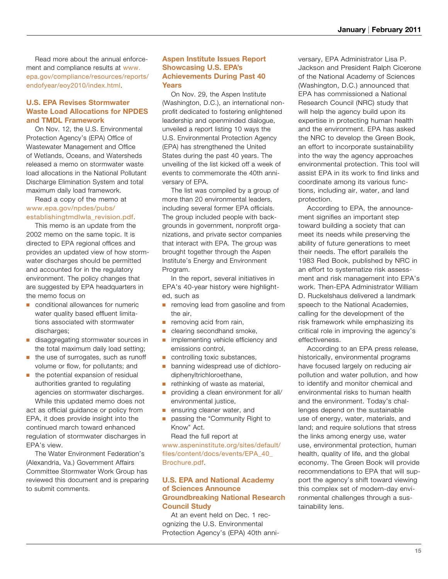Read more about the annual enforcement and compliance results at [www.](www.epa.gov/compliance/resources/reports/endofyear/eoy2010/index.html) [epa.gov/compliance/resources/reports/](www.epa.gov/compliance/resources/reports/endofyear/eoy2010/index.html) [endofyear/eoy2010/index.html](www.epa.gov/compliance/resources/reports/endofyear/eoy2010/index.html).

### **U.S. EPA Revises Stormwater Waste Load Allocations for NPDES and TMDL Framework**

On Nov. 12, the U.S. Environmental Protection Agency's (EPA) Office of Wastewater Management and Office of Wetlands, Oceans, and Watersheds released a memo on stormwater waste load allocations in the National Pollutant Discharge Elimination System and total maximum daily load framework.

Read a copy of the memo at [www.epa.gov/npdes/pubs/](www.epa.gov/npdes/pubs/establishingtmdlwla_revision.pdf) [establishingtmdlwla\\_revision.pdf](www.epa.gov/npdes/pubs/establishingtmdlwla_revision.pdf).

This memo is an update from the 2002 memo on the same topic. It is directed to EPA regional offices and provides an updated view of how stormwater discharges should be permitted and accounted for in the regulatory environment. The policy changes that are suggested by EPA headquarters in the memo focus on

- conditional allowances for numeric water quality based effluent limitations associated with stormwater discharges;
- disaggregating stormwater sources in the total maximum daily load setting;
- the use of surrogates, such as runoff volume or flow, for pollutants; and
- the potential expansion of residual authorities granted to regulating agencies on stormwater discharges. While this updated memo does not

act as official guidance or policy from EPA, it does provide insight into the continued march toward enhanced regulation of stormwater discharges in EPA's view.

The Water Environment Federation's (Alexandria, Va.) Government Affairs Committee Stormwater Work Group has reviewed this document and is preparing to submit comments.

### **Aspen Institute Issues Report Showcasing U.S. EPA's Achievements During Past 40 Years**

On Nov. 29, the Aspen Institute (Washington, D.C.), an international nonprofit dedicated to fostering enlightened leadership and openminded dialogue, unveiled a report listing 10 ways the U.S. Environmental Protection Agency (EPA) has strengthened the United States during the past 40 years. The unveiling of the list kicked off a week of events to commemorate the 40th anniversary of EPA.

The list was compiled by a group of more than 20 environmental leaders, including several former EPA officials. The group included people with backgrounds in government, nonprofit organizations, and private sector companies that interact with EPA. The group was brought together through the Aspen Institute's Energy and Environment Program.

In the report, several initiatives in EPA's 40-year history were highlighted, such as

- removing lead from gasoline and from the air,
- removing acid from rain,
- clearing secondhand smoke,
- implementing vehicle efficiency and emissions control,
- controlling toxic substances,
- banning widespread use of dichlorodiphenyltrichloroethane,
- rethinking of waste as material,
- providing a clean environment for all/ environmental justice,
- ensuring cleaner water, and
- passing the "Community Right to Know" Act.

Read the full report at [www.aspeninstitute.org/sites/default/](www.aspeninstitute.org/sites/default/files/content/docs/events/EPA_40_Brochure.pdf) [files/content/docs/events/EPA\\_40\\_](www.aspeninstitute.org/sites/default/files/content/docs/events/EPA_40_Brochure.pdf) [Brochure.pdf](www.aspeninstitute.org/sites/default/files/content/docs/events/EPA_40_Brochure.pdf).

### **U.S. EPA and National Academy of Sciences Announce Groundbreaking National Research Council Study**

At an event held on Dec. 1 recognizing the U.S. Environmental Protection Agency's (EPA) 40th anniversary, EPA Administrator Lisa P. Jackson and President Ralph Cicerone of the National Academy of Sciences (Washington, D.C.) announced that EPA has commissioned a National Research Council (NRC) study that will help the agency build upon its expertise in protecting human health and the environment. EPA has asked the NRC to develop the Green Book, an effort to incorporate sustainability into the way the agency approaches environmental protection. This tool will assist EPA in its work to find links and coordinate among its various functions, including air, water, and land protection.

According to EPA, the announcement signifies an important step toward building a society that can meet its needs while preserving the ability of future generations to meet their needs. The effort parallels the 1983 Red Book, published by NRC in an effort to systematize risk assessment and risk management into EPA's work. Then-EPA Administrator William D. Ruckelshaus delivered a landmark speech to the National Academies, calling for the development of the risk framework while emphasizing its critical role in improving the agency's effectiveness.

According to an EPA press release, historically, environmental programs have focused largely on reducing air pollution and water pollution, and how to identify and monitor chemical and environmental risks to human health and the environment. Today's challenges depend on the sustainable use of energy, water, materials, and land; and require solutions that stress the links among energy use, water use, environmental protection, human health, quality of life, and the global economy. The Green Book will provide recommendations to EPA that will support the agency's shift toward viewing this complex set of modern-day environmental challenges through a sustainability lens.